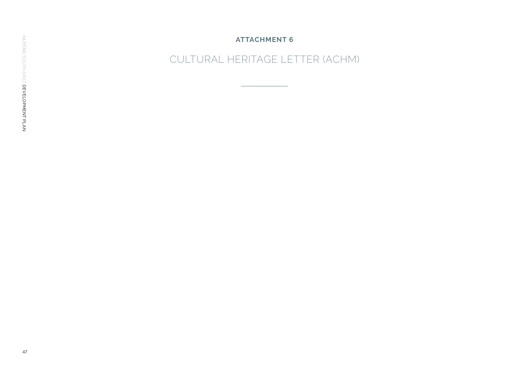**ATTACHMENT 6**

CULTURAL HERITAGE LETTER (ACHM)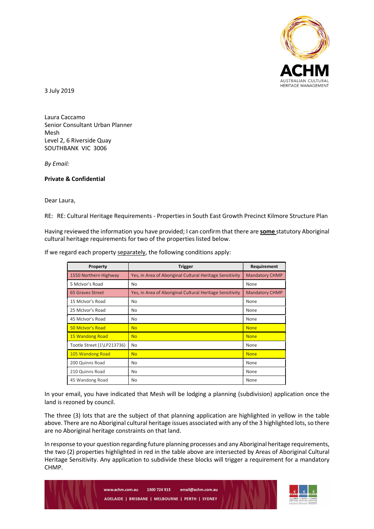

3 July 2019

Laura Caccamo Senior Consultant Urban Planner Mesh Level 2, 6 Riverside Quay SOUTHBANK VIC 3006

By Email:

## Private & Confidential

Dear Laura,

RE: RE: Cultural Heritage Requirements - Properties in South East Growth Precinct Kilmore Structure Plan

Having reviewed the information you have provided; I can confirm that there are some statutory Aboriginal cultural heritage requirements for two of the properties listed below.

| Property                   | <b>Trigger</b>                                           | Requirement           |
|----------------------------|----------------------------------------------------------|-----------------------|
| 1550 Northern Highway      | Yes, in Area of Aboriginal Cultural Heritage Sensitivity | <b>Mandatory CHMP</b> |
| 5 McIvor's Road            | No.                                                      | None                  |
| 65 Graves Street           | Yes, in Area of Aboriginal Cultural Heritage Sensitivity | <b>Mandatory CHMP</b> |
| 15 McIvor's Road           | No                                                       | None                  |
| 25 McIvor's Road           | No.                                                      | None                  |
| 45 McIvor's Road           | No                                                       | None                  |
| 50 McIvor's Road           | <b>No</b>                                                | <b>None</b>           |
| 15 Wandong Road            | <b>No</b>                                                | <b>None</b>           |
| Tootle Street (1\LP213736) | No                                                       | None                  |
| 105 Wandong Road           | <b>No</b>                                                | <b>None</b>           |
| 200 Quinns Road            | No.                                                      | None                  |
| 210 Quinns Road            | No                                                       | None                  |
| 45 Wandong Road            | No                                                       | None                  |

If we regard each property separately, the following conditions apply:

In your email, you have indicated that Mesh will be lodging a planning (subdivision) application once the land is rezoned by council.

The three (3) lots that are the subject of that planning application are highlighted in yellow in the table above. There are no Aboriginal cultural heritage issues associated with any of the 3 highlighted lots, so there are no Aboriginal heritage constraints on that land.

In response to your question regarding future planning processes and any Aboriginal heritage requirements, the two (2) properties highlighted in red in the table above are intersected by Areas of Aboriginal Cultural Heritage Sensitivity. Any application to subdivide these blocks will trigger a requirement for a mandatory CHMP.